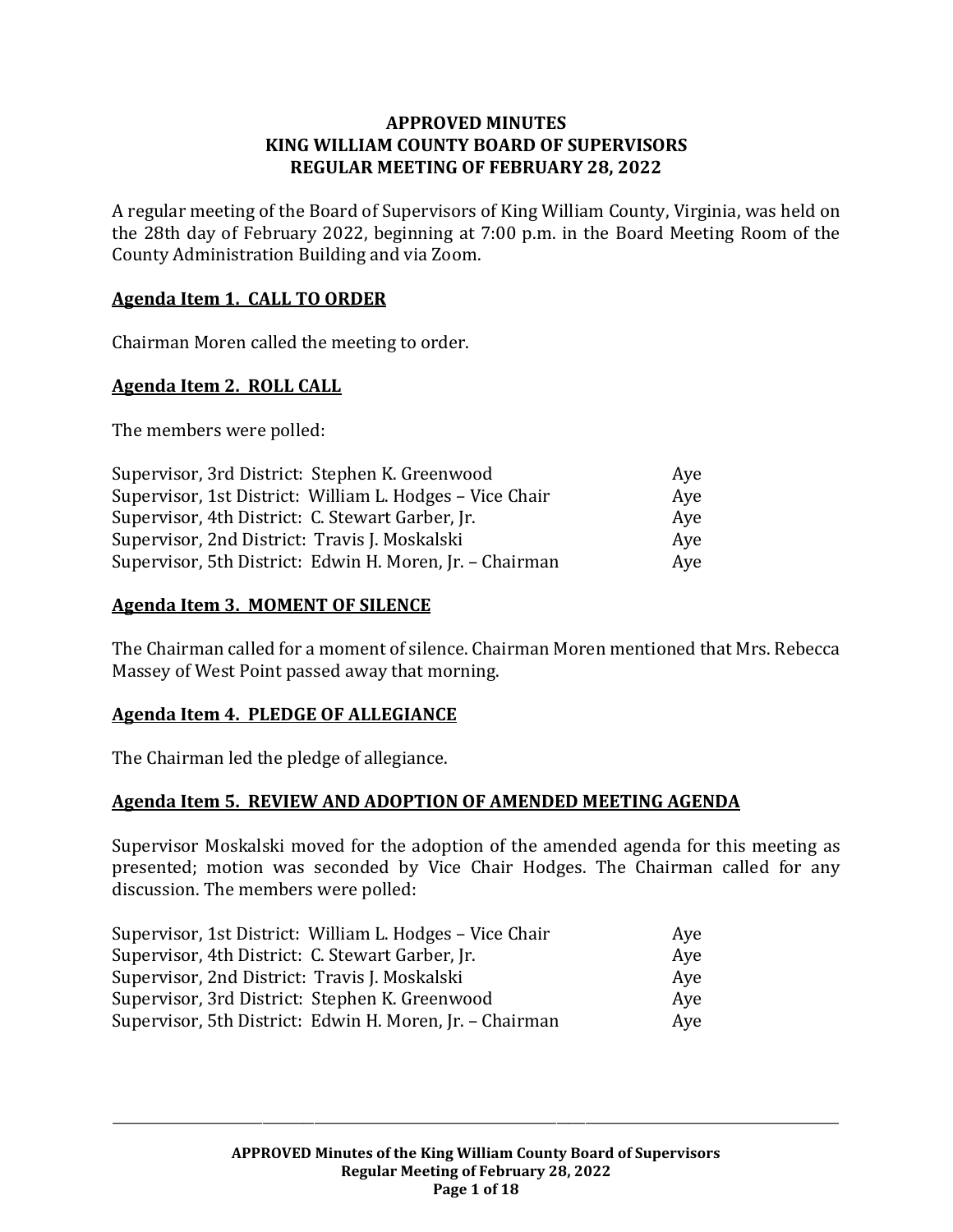#### **APPROVED MINUTES KING WILLIAM COUNTY BOARD OF SUPERVISORS REGULAR MEETING OF FEBRUARY 28, 2022**

A regular meeting of the Board of Supervisors of King William County, Virginia, was held on the 28th day of February 2022, beginning at 7:00 p.m. in the Board Meeting Room of the County Administration Building and via Zoom.

#### **Agenda Item 1. CALL TO ORDER**

Chairman Moren called the meeting to order.

#### **Agenda Item 2. ROLL CALL**

The members were polled:

| Supervisor, 3rd District: Stephen K. Greenwood           | Ave |
|----------------------------------------------------------|-----|
| Supervisor, 1st District: William L. Hodges – Vice Chair | Aye |
| Supervisor, 4th District: C. Stewart Garber, Jr.         | Aye |
| Supervisor, 2nd District: Travis J. Moskalski            | Aye |
| Supervisor, 5th District: Edwin H. Moren, Jr. - Chairman | Aye |

#### **Agenda Item 3. MOMENT OF SILENCE**

The Chairman called for a moment of silence. Chairman Moren mentioned that Mrs. Rebecca Massey of West Point passed away that morning.

#### **Agenda Item 4. PLEDGE OF ALLEGIANCE**

The Chairman led the pledge of allegiance.

#### **Agenda Item 5. REVIEW AND ADOPTION OF AMENDED MEETING AGENDA**

Supervisor Moskalski moved for the adoption of the amended agenda for this meeting as presented; motion was seconded by Vice Chair Hodges. The Chairman called for any discussion. The members were polled:

| Supervisor, 1st District: William L. Hodges - Vice Chair | Aye |
|----------------------------------------------------------|-----|
| Supervisor, 4th District: C. Stewart Garber, Jr.         | Aye |
| Supervisor, 2nd District: Travis J. Moskalski            | Aye |
| Supervisor, 3rd District: Stephen K. Greenwood           | Aye |
| Supervisor, 5th District: Edwin H. Moren, Jr. - Chairman | Aye |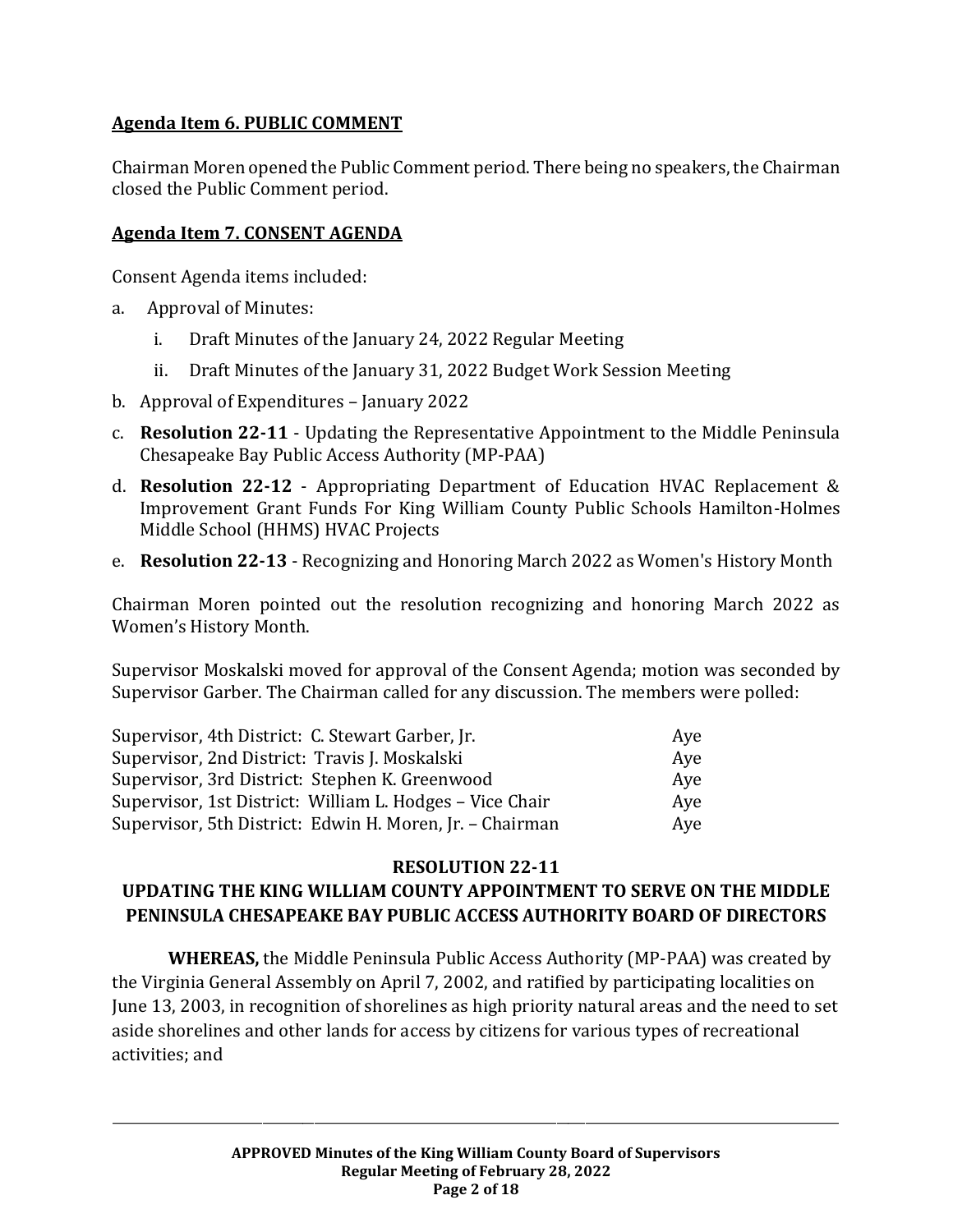# **Agenda Item 6. PUBLIC COMMENT**

Chairman Moren opened the Public Comment period. There being no speakers, the Chairman closed the Public Comment period.

# **Agenda Item 7. CONSENT AGENDA**

Consent Agenda items included:

- a. Approval of Minutes:
	- i. Draft Minutes of the January 24, 2022 Regular Meeting
	- ii. Draft Minutes of the January 31, 2022 Budget Work Session Meeting
- b. Approval of Expenditures January 2022
- c. **Resolution 22-11**  Updating the Representative Appointment to the Middle Peninsula Chesapeake Bay Public Access Authority (MP-PAA)
- d. **Resolution 22-12** Appropriating Department of Education HVAC Replacement & Improvement Grant Funds For King William County Public Schools Hamilton-Holmes Middle School (HHMS) HVAC Projects
- e. **Resolution 22-13** Recognizing and Honoring March 2022 as Women's History Month

Chairman Moren pointed out the resolution recognizing and honoring March 2022 as Women's History Month.

Supervisor Moskalski moved for approval of the Consent Agenda; motion was seconded by Supervisor Garber. The Chairman called for any discussion. The members were polled:

| Supervisor, 4th District: C. Stewart Garber, Jr.         | Aye |
|----------------------------------------------------------|-----|
| Supervisor, 2nd District: Travis J. Moskalski            | Aye |
| Supervisor, 3rd District: Stephen K. Greenwood           | Aye |
| Supervisor, 1st District: William L. Hodges – Vice Chair | Aye |
| Supervisor, 5th District: Edwin H. Moren, Jr. - Chairman | Aye |

#### **RESOLUTION 22-11**

# **UPDATING THE KING WILLIAM COUNTY APPOINTMENT TO SERVE ON THE MIDDLE PENINSULA CHESAPEAKE BAY PUBLIC ACCESS AUTHORITY BOARD OF DIRECTORS**

**WHEREAS,** the Middle Peninsula Public Access Authority (MP-PAA) was created by the Virginia General Assembly on April 7, 2002, and ratified by participating localities on June 13, 2003, in recognition of shorelines as high priority natural areas and the need to set aside shorelines and other lands for access by citizens for various types of recreational activities; and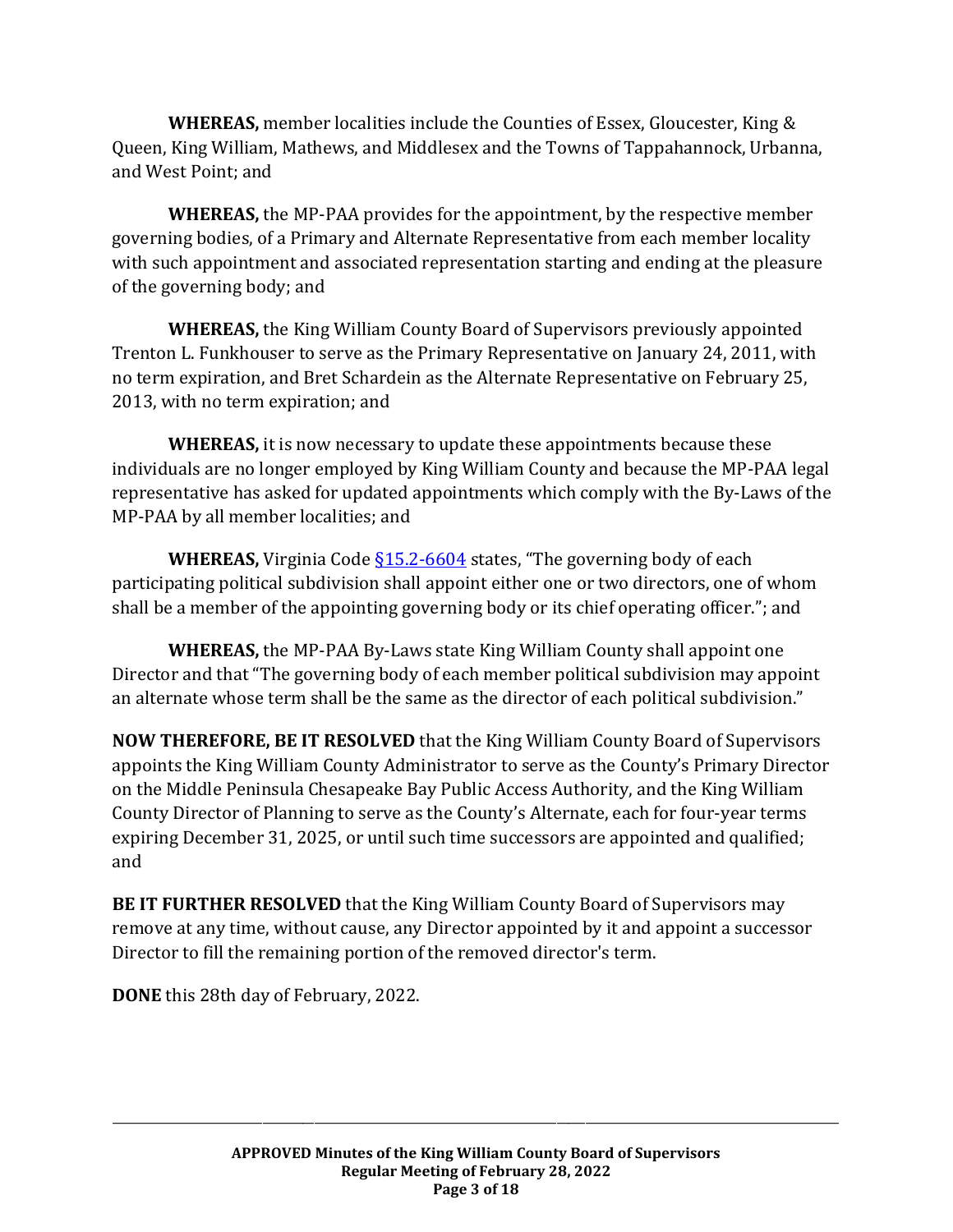**WHEREAS,** member localities include the Counties of Essex, Gloucester, King & Queen, King William, Mathews, and Middlesex and the Towns of Tappahannock, Urbanna, and West Point; and

**WHEREAS,** the MP-PAA provides for the appointment, by the respective member governing bodies, of a Primary and Alternate Representative from each member locality with such appointment and associated representation starting and ending at the pleasure of the governing body; and

**WHEREAS,** the King William County Board of Supervisors previously appointed Trenton L. Funkhouser to serve as the Primary Representative on January 24, 2011, with no term expiration, and Bret Schardein as the Alternate Representative on February 25, 2013, with no term expiration; and

**WHEREAS,** it is now necessary to update these appointments because these individuals are no longer employed by King William County and because the MP-PAA legal representative has asked for updated appointments which comply with the By-Laws of the MP-PAA by all member localities; and

**WHEREAS,** Virginia Code  $\S15.2 - 6604$  states, "The governing body of each participating political subdivision shall appoint either one or two directors, one of whom shall be a member of the appointing governing body or its chief operating officer."; and

**WHEREAS,** the MP-PAA By-Laws state King William County shall appoint one Director and that "The governing body of each member political subdivision may appoint an alternate whose term shall be the same as the director of each political subdivision."

**NOW THEREFORE, BE IT RESOLVED** that the King William County Board of Supervisors appoints the King William County Administrator to serve as the County's Primary Director on the Middle Peninsula Chesapeake Bay Public Access Authority, and the King William County Director of Planning to serve as the County's Alternate, each for four-year terms expiring December 31, 2025, or until such time successors are appointed and qualified; and

**BE IT FURTHER RESOLVED** that the King William County Board of Supervisors may remove at any time, without cause, any Director appointed by it and appoint a successor Director to fill the remaining portion of the removed director's term.

**DONE** this 28th day of February, 2022.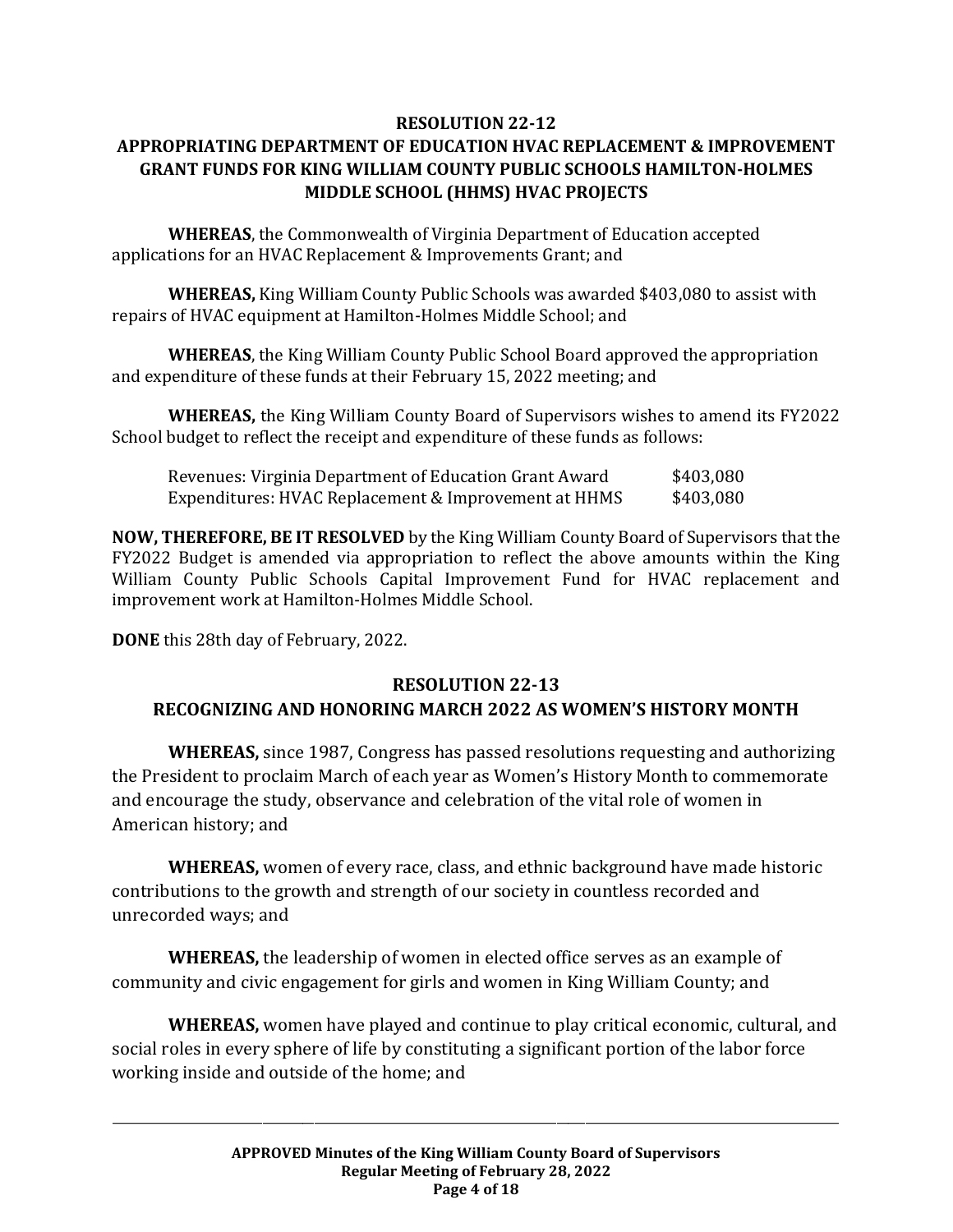#### **RESOLUTION 22-12 APPROPRIATING DEPARTMENT OF EDUCATION HVAC REPLACEMENT & IMPROVEMENT GRANT FUNDS FOR KING WILLIAM COUNTY PUBLIC SCHOOLS HAMILTON-HOLMES MIDDLE SCHOOL (HHMS) HVAC PROJECTS**

**WHEREAS**, the Commonwealth of Virginia Department of Education accepted applications for an HVAC Replacement & Improvements Grant; and

**WHEREAS,** King William County Public Schools was awarded \$403,080 to assist with repairs of HVAC equipment at Hamilton-Holmes Middle School; and

**WHEREAS**, the King William County Public School Board approved the appropriation and expenditure of these funds at their February 15, 2022 meeting; and

**WHEREAS,** the King William County Board of Supervisors wishes to amend its FY2022 School budget to reflect the receipt and expenditure of these funds as follows:

| Revenues: Virginia Department of Education Grant Award | \$403,080 |
|--------------------------------------------------------|-----------|
| Expenditures: HVAC Replacement & Improvement at HHMS   | \$403,080 |

**NOW, THEREFORE, BE IT RESOLVED** by the King William County Board of Supervisors that the FY2022 Budget is amended via appropriation to reflect the above amounts within the King William County Public Schools Capital Improvement Fund for HVAC replacement and improvement work at Hamilton-Holmes Middle School.

**DONE** this 28th day of February, 2022.

# **RESOLUTION 22-13**

# **RECOGNIZING AND HONORING MARCH 2022 AS WOMEN'S HISTORY MONTH**

**WHEREAS,** since 1987, Congress has passed resolutions requesting and authorizing the President to proclaim March of each year as Women's History Month to commemorate and encourage the study, observance and celebration of the vital role of women in American history; and

**WHEREAS,** women of every race, class, and ethnic background have made historic contributions to the growth and strength of our society in countless recorded and unrecorded ways; and

**WHEREAS,** the leadership of women in elected office serves as an example of community and civic engagement for girls and women in King William County; and

**WHEREAS,** women have played and continue to play critical economic, cultural, and social roles in every sphere of life by constituting a significant portion of the labor force working inside and outside of the home; and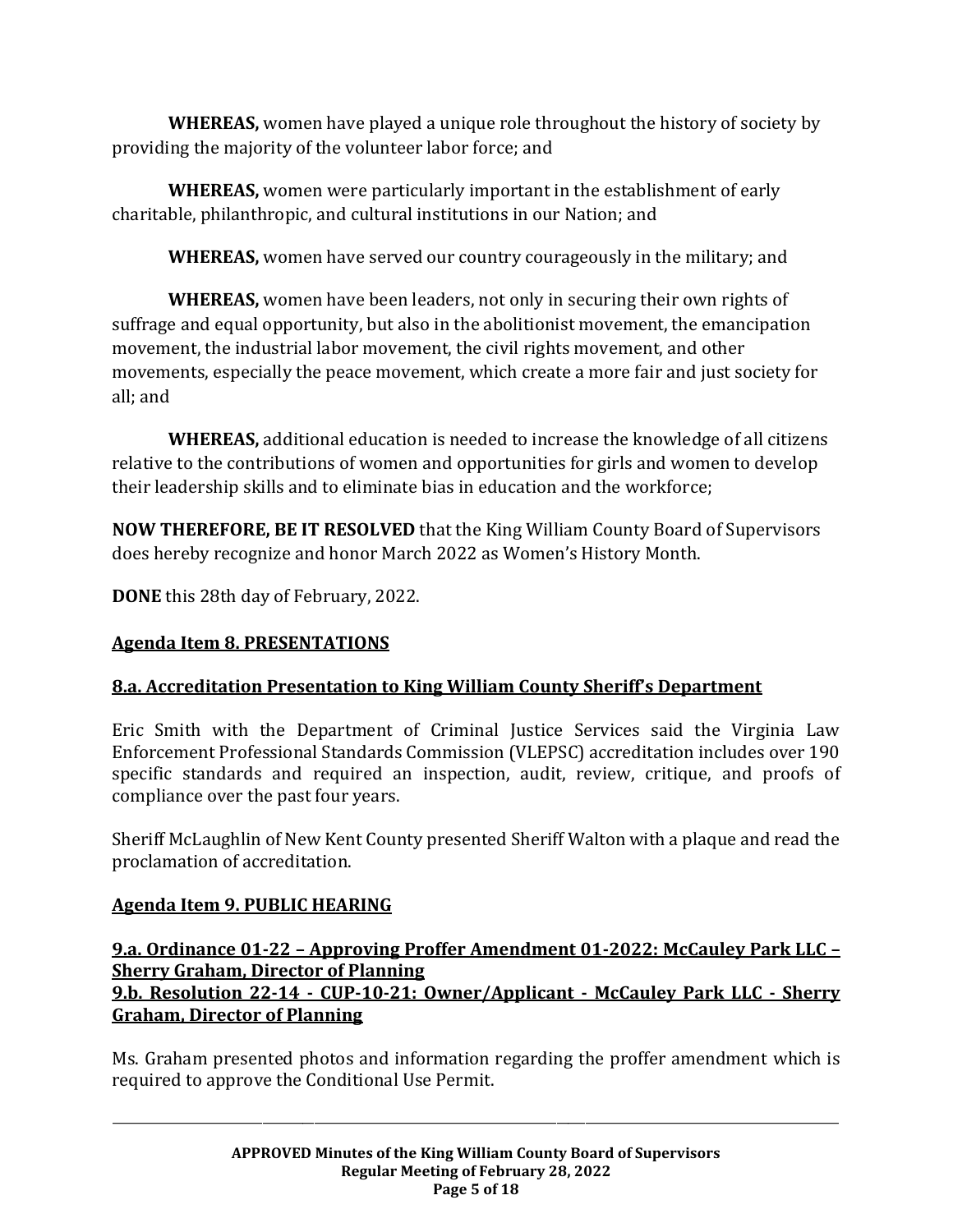**WHEREAS,** women have played a unique role throughout the history of society by providing the majority of the volunteer labor force; and

**WHEREAS,** women were particularly important in the establishment of early charitable, philanthropic, and cultural institutions in our Nation; and

**WHEREAS,** women have served our country courageously in the military; and

**WHEREAS,** women have been leaders, not only in securing their own rights of suffrage and equal opportunity, but also in the abolitionist movement, the emancipation movement, the industrial labor movement, the civil rights movement, and other movements, especially the peace movement, which create a more fair and just society for all; and

**WHEREAS,** additional education is needed to increase the knowledge of all citizens relative to the contributions of women and opportunities for girls and women to develop their leadership skills and to eliminate bias in education and the workforce;

**NOW THEREFORE, BE IT RESOLVED** that the King William County Board of Supervisors does hereby recognize and honor March 2022 as Women's History Month.

**DONE** this 28th day of February, 2022.

# **Agenda Item 8. PRESENTATIONS**

# **8.a. Accreditation Presentation to King William County Sheriff's Department**

Eric Smith with the Department of Criminal Justice Services said the Virginia Law Enforcement Professional Standards Commission (VLEPSC) accreditation includes over 190 specific standards and required an inspection, audit, review, critique, and proofs of compliance over the past four years.

Sheriff McLaughlin of New Kent County presented Sheriff Walton with a plaque and read the proclamation of accreditation.

# **Agenda Item 9. PUBLIC HEARING**

# **9.a. Ordinance 01-22 – Approving Proffer Amendment 01-2022: McCauley Park LLC – Sherry Graham, Director of Planning 9.b. Resolution 22-14 - CUP-10-21: Owner/Applicant - McCauley Park LLC - Sherry Graham, Director of Planning**

Ms. Graham presented photos and information regarding the proffer amendment which is required to approve the Conditional Use Permit.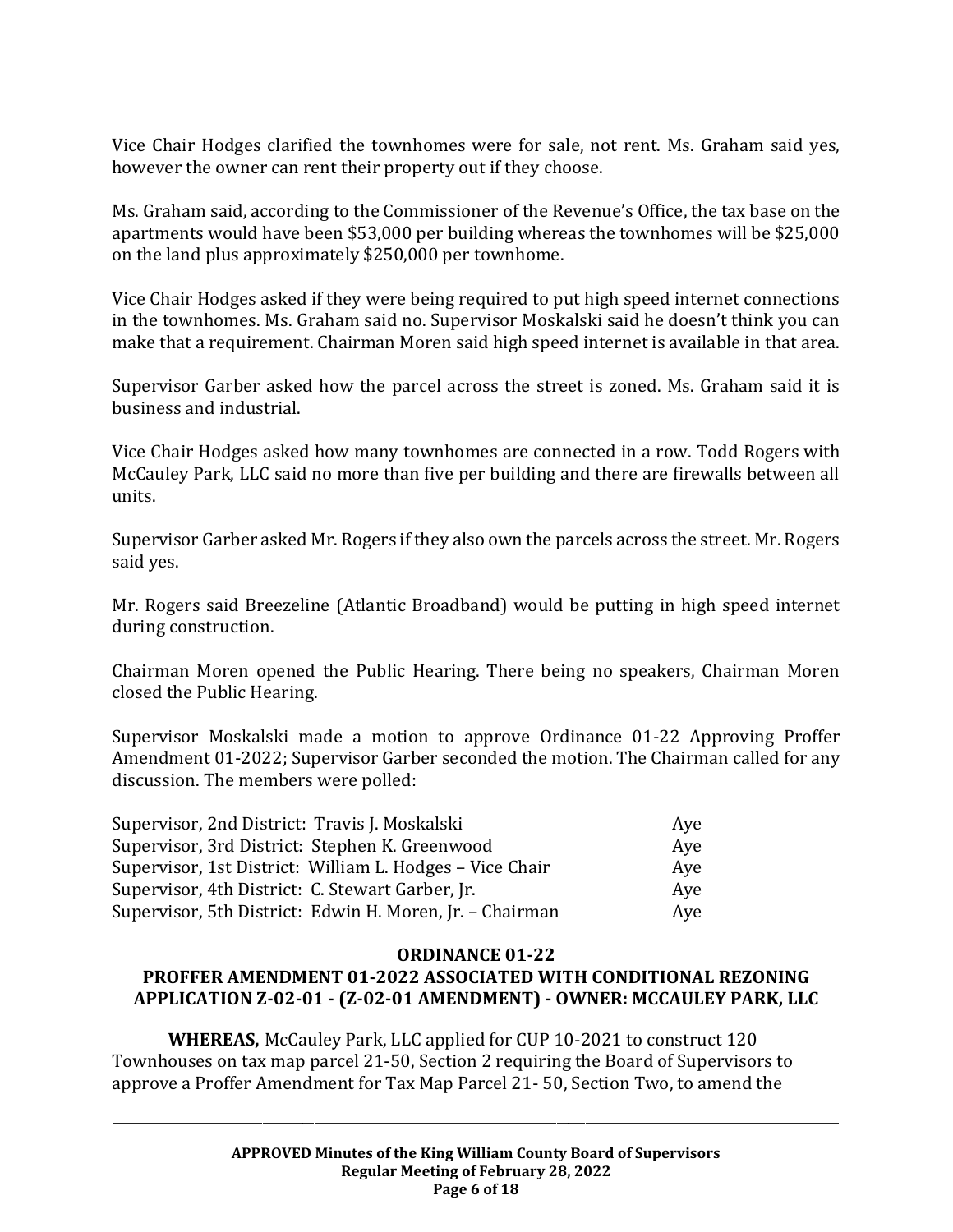Vice Chair Hodges clarified the townhomes were for sale, not rent. Ms. Graham said yes, however the owner can rent their property out if they choose.

Ms. Graham said, according to the Commissioner of the Revenue's Office, the tax base on the apartments would have been \$53,000 per building whereas the townhomes will be \$25,000 on the land plus approximately \$250,000 per townhome.

Vice Chair Hodges asked if they were being required to put high speed internet connections in the townhomes. Ms. Graham said no. Supervisor Moskalski said he doesn't think you can make that a requirement. Chairman Moren said high speed internet is available in that area.

Supervisor Garber asked how the parcel across the street is zoned. Ms. Graham said it is business and industrial.

Vice Chair Hodges asked how many townhomes are connected in a row. Todd Rogers with McCauley Park, LLC said no more than five per building and there are firewalls between all units.

Supervisor Garber asked Mr. Rogers if they also own the parcels across the street. Mr. Rogers said yes.

Mr. Rogers said Breezeline (Atlantic Broadband) would be putting in high speed internet during construction.

Chairman Moren opened the Public Hearing. There being no speakers, Chairman Moren closed the Public Hearing.

Supervisor Moskalski made a motion to approve Ordinance 01-22 Approving Proffer Amendment 01-2022; Supervisor Garber seconded the motion. The Chairman called for any discussion. The members were polled:

| Supervisor, 2nd District: Travis J. Moskalski            | Aye |
|----------------------------------------------------------|-----|
| Supervisor, 3rd District: Stephen K. Greenwood           | Aye |
| Supervisor, 1st District: William L. Hodges – Vice Chair | Aye |
| Supervisor, 4th District: C. Stewart Garber, Jr.         | Aye |
| Supervisor, 5th District: Edwin H. Moren, Jr. - Chairman | Aye |

#### **ORDINANCE 01-22**

# **PROFFER AMENDMENT 01-2022 ASSOCIATED WITH CONDITIONAL REZONING APPLICATION Z-02-01 - (Z-02-01 AMENDMENT) - OWNER: MCCAULEY PARK, LLC**

**WHEREAS,** McCauley Park, LLC applied for CUP 10-2021 to construct 120 Townhouses on tax map parcel 21-50, Section 2 requiring the Board of Supervisors to approve a Proffer Amendment for Tax Map Parcel 21- 50, Section Two, to amend the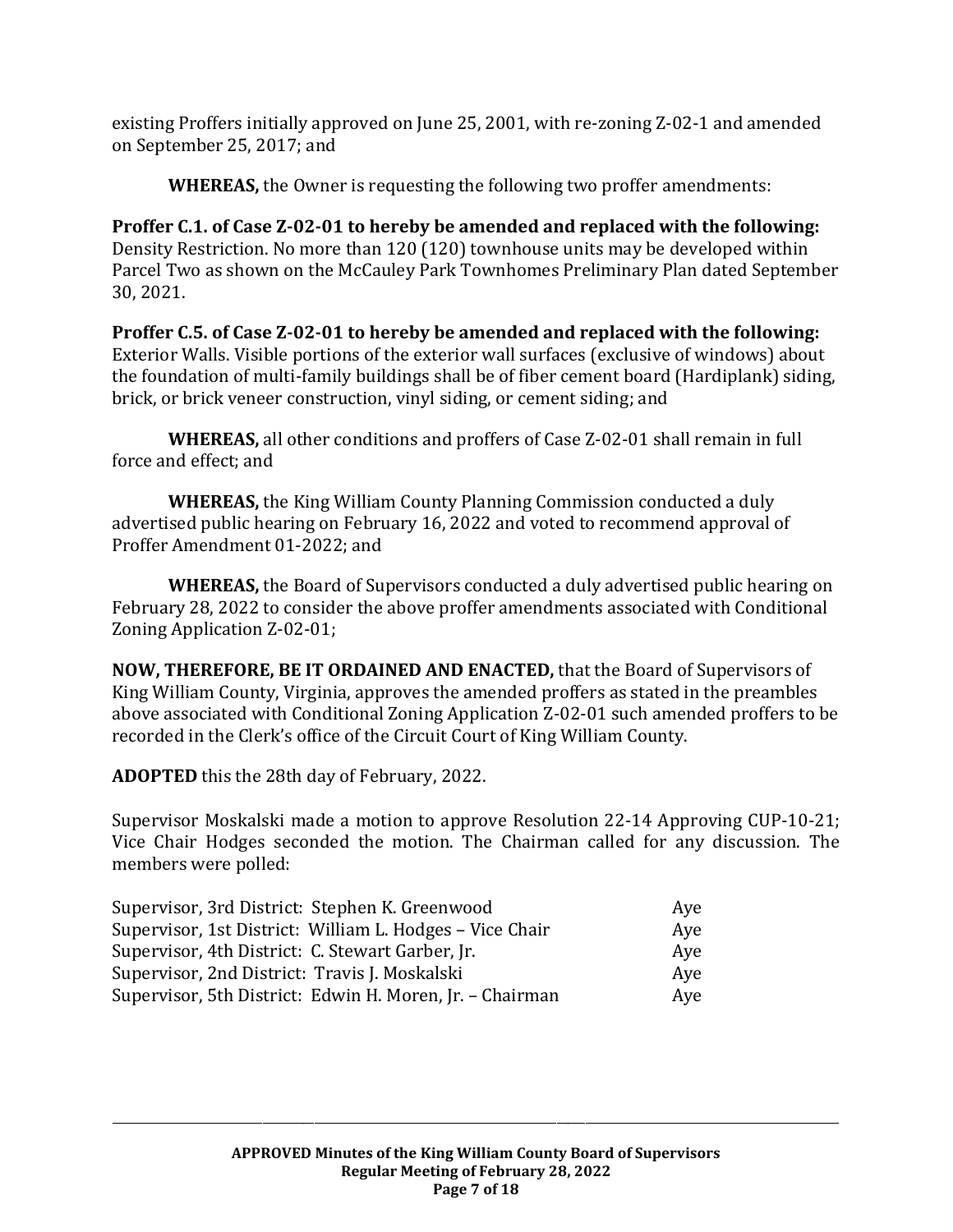existing Proffers initially approved on June 25, 2001, with re-zoning Z-02-1 and amended on September 25, 2017; and

**WHEREAS,** the Owner is requesting the following two proffer amendments:

**Proffer C.1. of Case Z-02-01 to hereby be amended and replaced with the following:**  Density Restriction. No more than 120 (120) townhouse units may be developed within Parcel Two as shown on the McCauley Park Townhomes Preliminary Plan dated September 30, 2021.

**Proffer C.5. of Case Z-02-01 to hereby be amended and replaced with the following:**  Exterior Walls. Visible portions of the exterior wall surfaces (exclusive of windows) about the foundation of multi-family buildings shall be of fiber cement board (Hardiplank) siding, brick, or brick veneer construction, vinyl siding, or cement siding; and

**WHEREAS,** all other conditions and proffers of Case Z-02-01 shall remain in full force and effect; and

**WHEREAS,** the King William County Planning Commission conducted a duly advertised public hearing on February 16, 2022 and voted to recommend approval of Proffer Amendment 01-2022; and

**WHEREAS,** the Board of Supervisors conducted a duly advertised public hearing on February 28, 2022 to consider the above proffer amendments associated with Conditional Zoning Application Z-02-01;

**NOW, THEREFORE, BE IT ORDAINED AND ENACTED,** that the Board of Supervisors of King William County, Virginia, approves the amended proffers as stated in the preambles above associated with Conditional Zoning Application Z-02-01 such amended proffers to be recorded in the Clerk's office of the Circuit Court of King William County.

**ADOPTED** this the 28th day of February, 2022.

Supervisor Moskalski made a motion to approve Resolution 22-14 Approving CUP-10-21; Vice Chair Hodges seconded the motion. The Chairman called for any discussion. The members were polled:

| Supervisor, 3rd District: Stephen K. Greenwood           | Aye |
|----------------------------------------------------------|-----|
| Supervisor, 1st District: William L. Hodges - Vice Chair | Aye |
| Supervisor, 4th District: C. Stewart Garber, Jr.         | Ave |
| Supervisor, 2nd District: Travis J. Moskalski            | Aye |
| Supervisor, 5th District: Edwin H. Moren, Jr. - Chairman | Aye |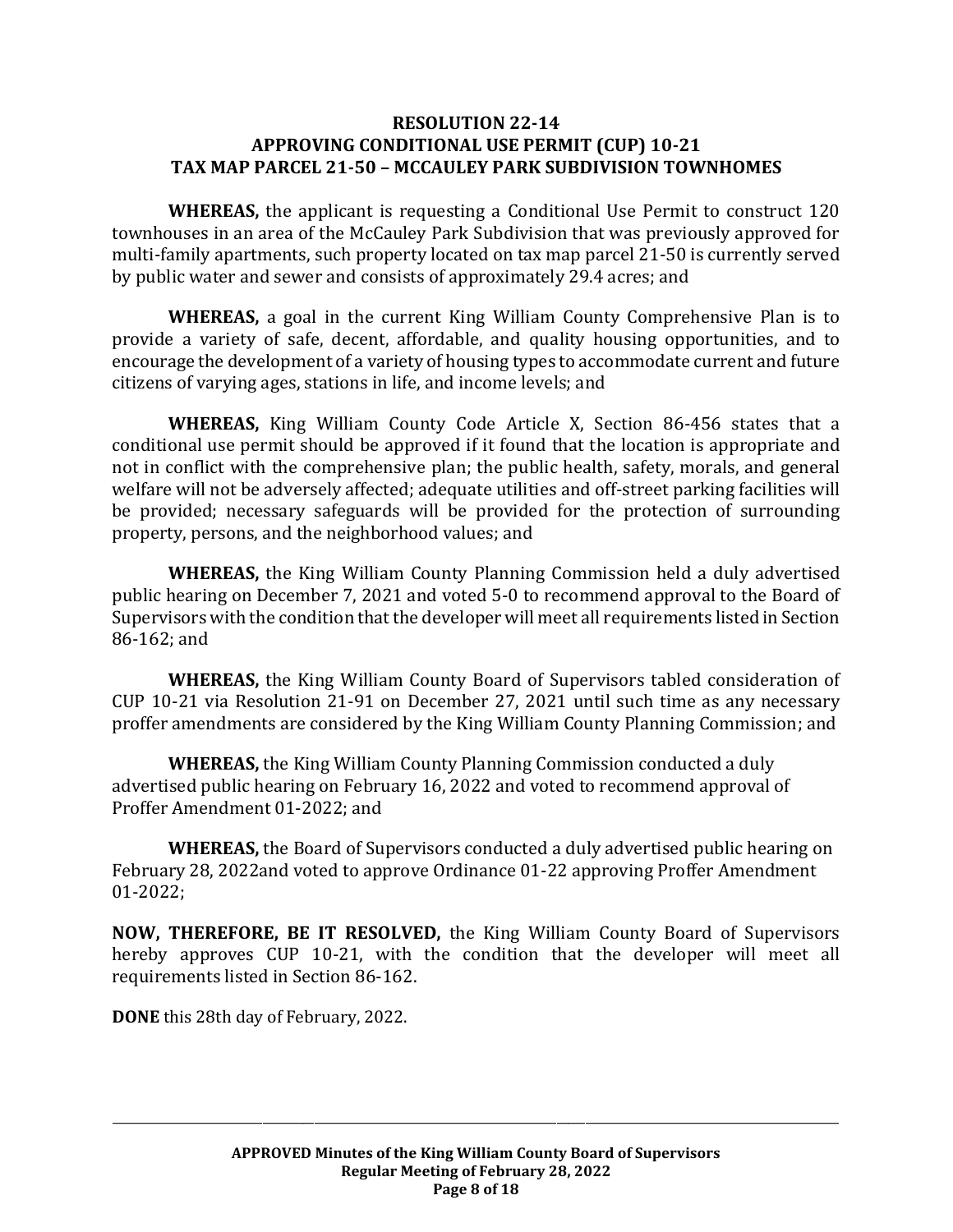#### **RESOLUTION 22-14 APPROVING CONDITIONAL USE PERMIT (CUP) 10-21 TAX MAP PARCEL 21-50 – MCCAULEY PARK SUBDIVISION TOWNHOMES**

**WHEREAS,** the applicant is requesting a Conditional Use Permit to construct 120 townhouses in an area of the McCauley Park Subdivision that was previously approved for multi-family apartments, such property located on tax map parcel 21-50 is currently served by public water and sewer and consists of approximately 29.4 acres; and

**WHEREAS,** a goal in the current King William County Comprehensive Plan is to provide a variety of safe, decent, affordable, and quality housing opportunities, and to encourage the development of a variety of housing types to accommodate current and future citizens of varying ages, stations in life, and income levels; and

**WHEREAS,** King William County Code Article X, Section 86-456 states that a conditional use permit should be approved if it found that the location is appropriate and not in conflict with the comprehensive plan; the public health, safety, morals, and general welfare will not be adversely affected; adequate utilities and off-street parking facilities will be provided; necessary safeguards will be provided for the protection of surrounding property, persons, and the neighborhood values; and

**WHEREAS,** the King William County Planning Commission held a duly advertised public hearing on December 7, 2021 and voted 5-0 to recommend approval to the Board of Supervisors with the condition that the developer will meet all requirements listed in Section 86-162; and

**WHEREAS,** the King William County Board of Supervisors tabled consideration of CUP 10-21 via Resolution 21-91 on December 27, 2021 until such time as any necessary proffer amendments are considered by the King William County Planning Commission; and

**WHEREAS,** the King William County Planning Commission conducted a duly advertised public hearing on February 16, 2022 and voted to recommend approval of Proffer Amendment 01-2022; and

**WHEREAS,** the Board of Supervisors conducted a duly advertised public hearing on February 28, 2022and voted to approve Ordinance 01-22 approving Proffer Amendment 01-2022;

**NOW, THEREFORE, BE IT RESOLVED,** the King William County Board of Supervisors hereby approves CUP 10-21, with the condition that the developer will meet all requirements listed in Section 86-162.

**DONE** this 28th day of February, 2022.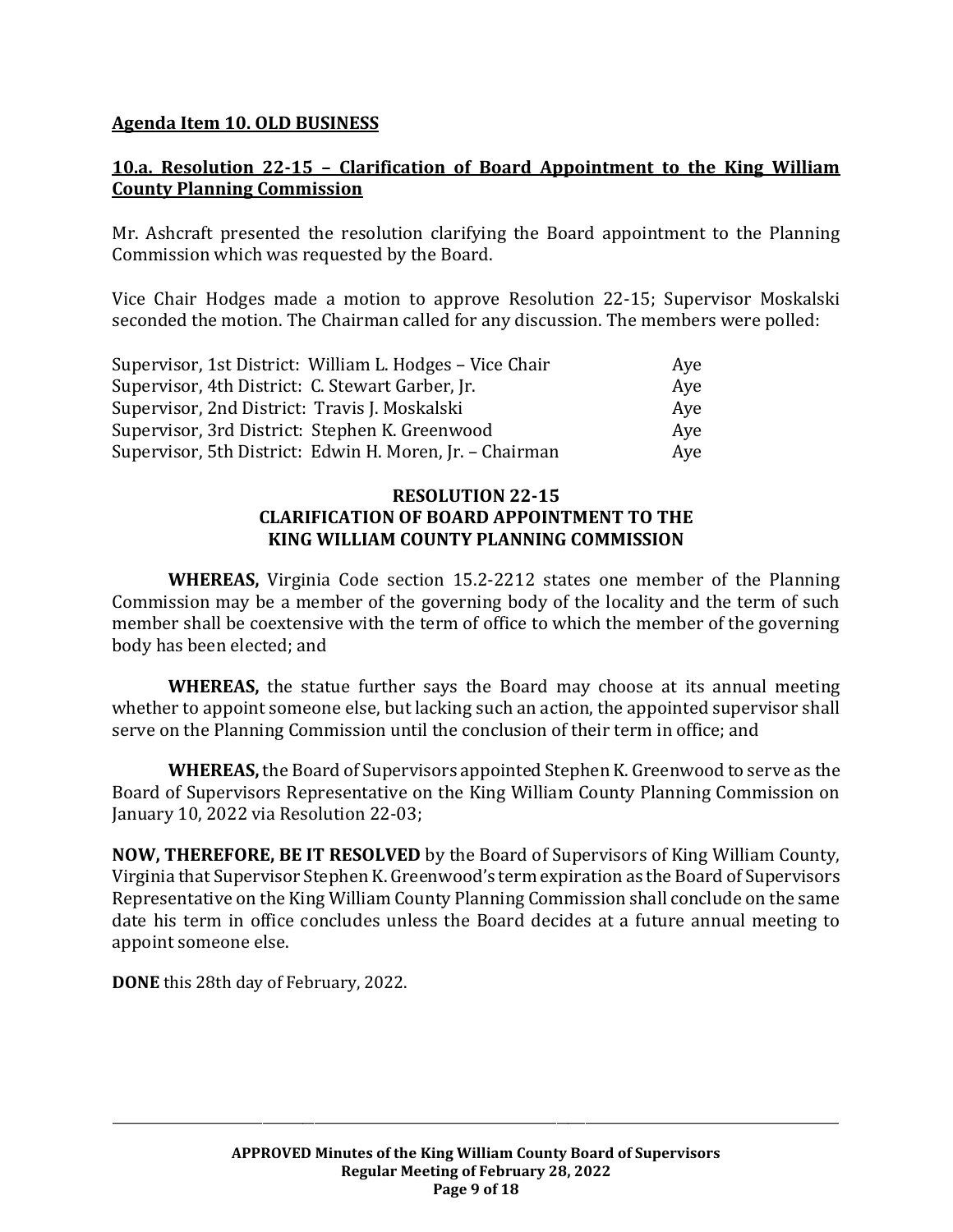#### **Agenda Item 10. OLD BUSINESS**

### **10.a. Resolution 22-15 – Clarification of Board Appointment to the King William County Planning Commission**

Mr. Ashcraft presented the resolution clarifying the Board appointment to the Planning Commission which was requested by the Board.

Vice Chair Hodges made a motion to approve Resolution 22-15; Supervisor Moskalski seconded the motion. The Chairman called for any discussion. The members were polled:

| Supervisor, 1st District: William L. Hodges - Vice Chair | Aye |
|----------------------------------------------------------|-----|
| Supervisor, 4th District: C. Stewart Garber, Jr.         | Aye |
| Supervisor, 2nd District: Travis J. Moskalski            | Aye |
| Supervisor, 3rd District: Stephen K. Greenwood           | Ave |
| Supervisor, 5th District: Edwin H. Moren, Jr. - Chairman | Aye |

#### **RESOLUTION 22-15 CLARIFICATION OF BOARD APPOINTMENT TO THE KING WILLIAM COUNTY PLANNING COMMISSION**

**WHEREAS,** Virginia Code section 15.2-2212 states one member of the Planning Commission may be a member of the governing body of the locality and the term of such member shall be coextensive with the term of office to which the member of the governing body has been elected; and

**WHEREAS,** the statue further says the Board may choose at its annual meeting whether to appoint someone else, but lacking such an action, the appointed supervisor shall serve on the Planning Commission until the conclusion of their term in office; and

**WHEREAS,** the Board of Supervisors appointed Stephen K. Greenwood to serve as the Board of Supervisors Representative on the King William County Planning Commission on January 10, 2022 via Resolution 22-03;

**NOW, THEREFORE, BE IT RESOLVED** by the Board of Supervisors of King William County, Virginia that Supervisor Stephen K. Greenwood's term expiration as the Board of Supervisors Representative on the King William County Planning Commission shall conclude on the same date his term in office concludes unless the Board decides at a future annual meeting to appoint someone else.

**DONE** this 28th day of February, 2022.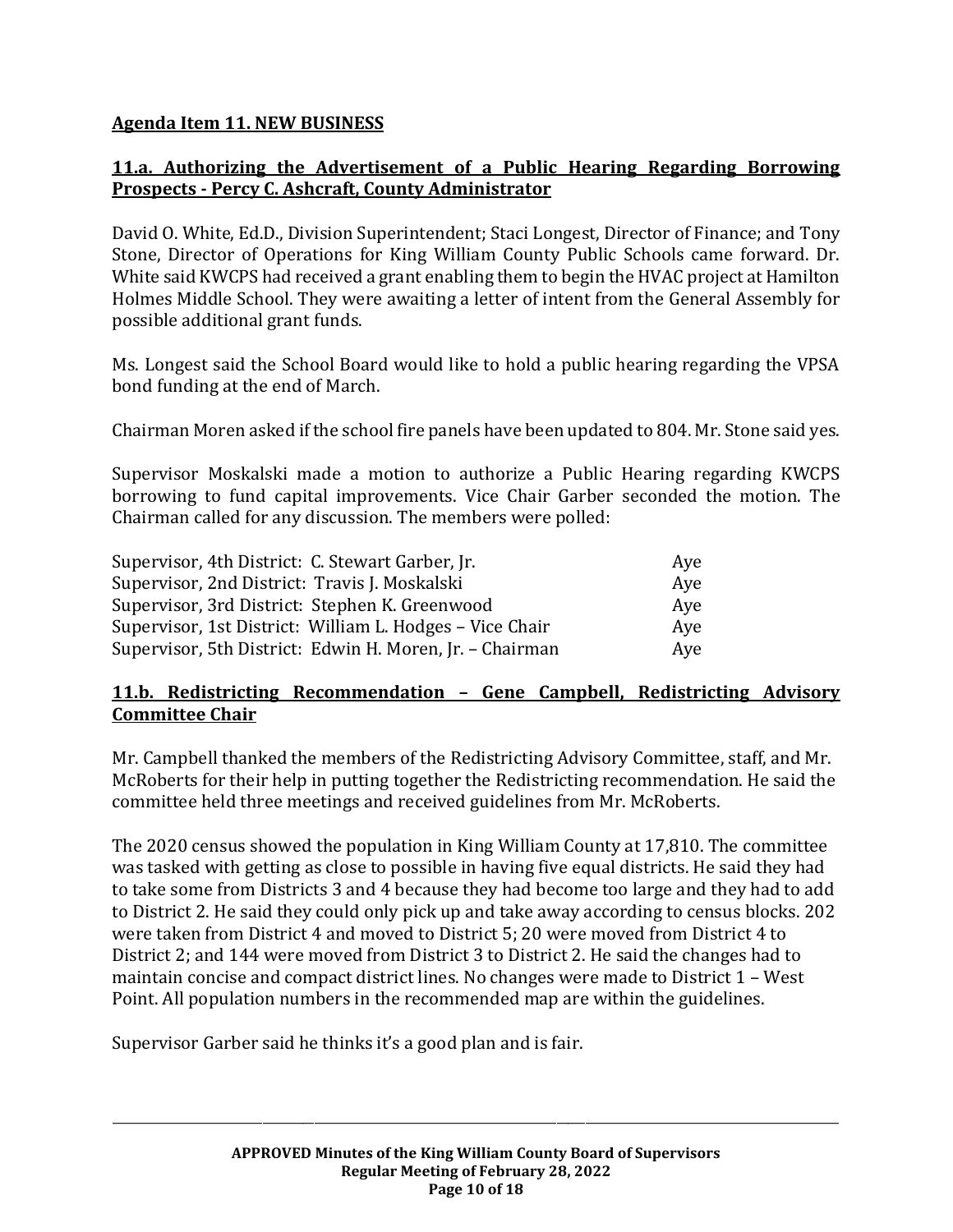# **Agenda Item 11. NEW BUSINESS**

# **11.a. Authorizing the Advertisement of a Public Hearing Regarding Borrowing Prospects - Percy C. Ashcraft, County Administrator**

David O. White, Ed.D., Division Superintendent; Staci Longest, Director of Finance; and Tony Stone, Director of Operations for King William County Public Schools came forward. Dr. White said KWCPS had received a grant enabling them to begin the HVAC project at Hamilton Holmes Middle School. They were awaiting a letter of intent from the General Assembly for possible additional grant funds.

Ms. Longest said the School Board would like to hold a public hearing regarding the VPSA bond funding at the end of March.

Chairman Moren asked if the school fire panels have been updated to 804. Mr. Stone said yes.

Supervisor Moskalski made a motion to authorize a Public Hearing regarding KWCPS borrowing to fund capital improvements. Vice Chair Garber seconded the motion. The Chairman called for any discussion. The members were polled:

| Supervisor, 4th District: C. Stewart Garber, Jr.         | Aye |
|----------------------------------------------------------|-----|
| Supervisor, 2nd District: Travis J. Moskalski            | Ave |
| Supervisor, 3rd District: Stephen K. Greenwood           | Aye |
| Supervisor, 1st District: William L. Hodges - Vice Chair | Aye |
| Supervisor, 5th District: Edwin H. Moren, Jr. - Chairman | Aye |

### **11.b. Redistricting Recommendation – Gene Campbell, Redistricting Advisory Committee Chair**

Mr. Campbell thanked the members of the Redistricting Advisory Committee, staff, and Mr. McRoberts for their help in putting together the Redistricting recommendation. He said the committee held three meetings and received guidelines from Mr. McRoberts.

The 2020 census showed the population in King William County at 17,810. The committee was tasked with getting as close to possible in having five equal districts. He said they had to take some from Districts 3 and 4 because they had become too large and they had to add to District 2. He said they could only pick up and take away according to census blocks. 202 were taken from District 4 and moved to District 5; 20 were moved from District 4 to District 2; and 144 were moved from District 3 to District 2. He said the changes had to maintain concise and compact district lines. No changes were made to District 1 – West Point. All population numbers in the recommended map are within the guidelines.

Supervisor Garber said he thinks it's a good plan and is fair.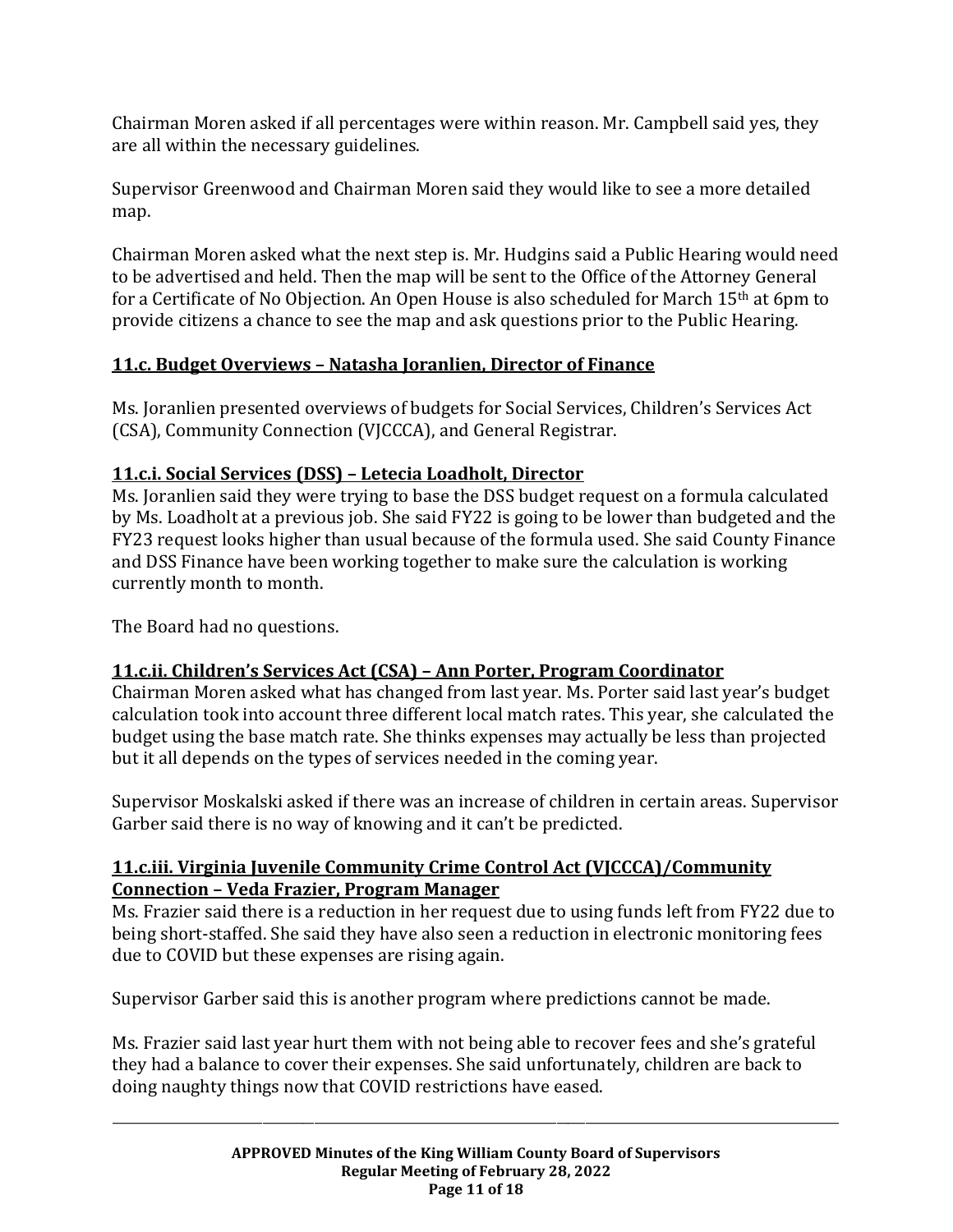Chairman Moren asked if all percentages were within reason. Mr. Campbell said yes, they are all within the necessary guidelines.

Supervisor Greenwood and Chairman Moren said they would like to see a more detailed map.

Chairman Moren asked what the next step is. Mr. Hudgins said a Public Hearing would need to be advertised and held. Then the map will be sent to the Office of the Attorney General for a Certificate of No Objection. An Open House is also scheduled for March 15th at 6pm to provide citizens a chance to see the map and ask questions prior to the Public Hearing.

# **11.c. Budget Overviews – Natasha Joranlien, Director of Finance**

Ms. Joranlien presented overviews of budgets for Social Services, Children's Services Act (CSA), Community Connection (VJCCCA), and General Registrar.

# **11.c.i. Social Services (DSS) – Letecia Loadholt, Director**

Ms. Joranlien said they were trying to base the DSS budget request on a formula calculated by Ms. Loadholt at a previous job. She said FY22 is going to be lower than budgeted and the FY23 request looks higher than usual because of the formula used. She said County Finance and DSS Finance have been working together to make sure the calculation is working currently month to month.

The Board had no questions.

# **11.c.ii. Children's Services Act (CSA) – Ann Porter, Program Coordinator**

Chairman Moren asked what has changed from last year. Ms. Porter said last year's budget calculation took into account three different local match rates. This year, she calculated the budget using the base match rate. She thinks expenses may actually be less than projected but it all depends on the types of services needed in the coming year.

Supervisor Moskalski asked if there was an increase of children in certain areas. Supervisor Garber said there is no way of knowing and it can't be predicted.

# **11.c.iii. Virginia Juvenile Community Crime Control Act (VJCCCA)/Community Connection – Veda Frazier, Program Manager**

Ms. Frazier said there is a reduction in her request due to using funds left from FY22 due to being short-staffed. She said they have also seen a reduction in electronic monitoring fees due to COVID but these expenses are rising again.

Supervisor Garber said this is another program where predictions cannot be made.

Ms. Frazier said last year hurt them with not being able to recover fees and she's grateful they had a balance to cover their expenses. She said unfortunately, children are back to doing naughty things now that COVID restrictions have eased.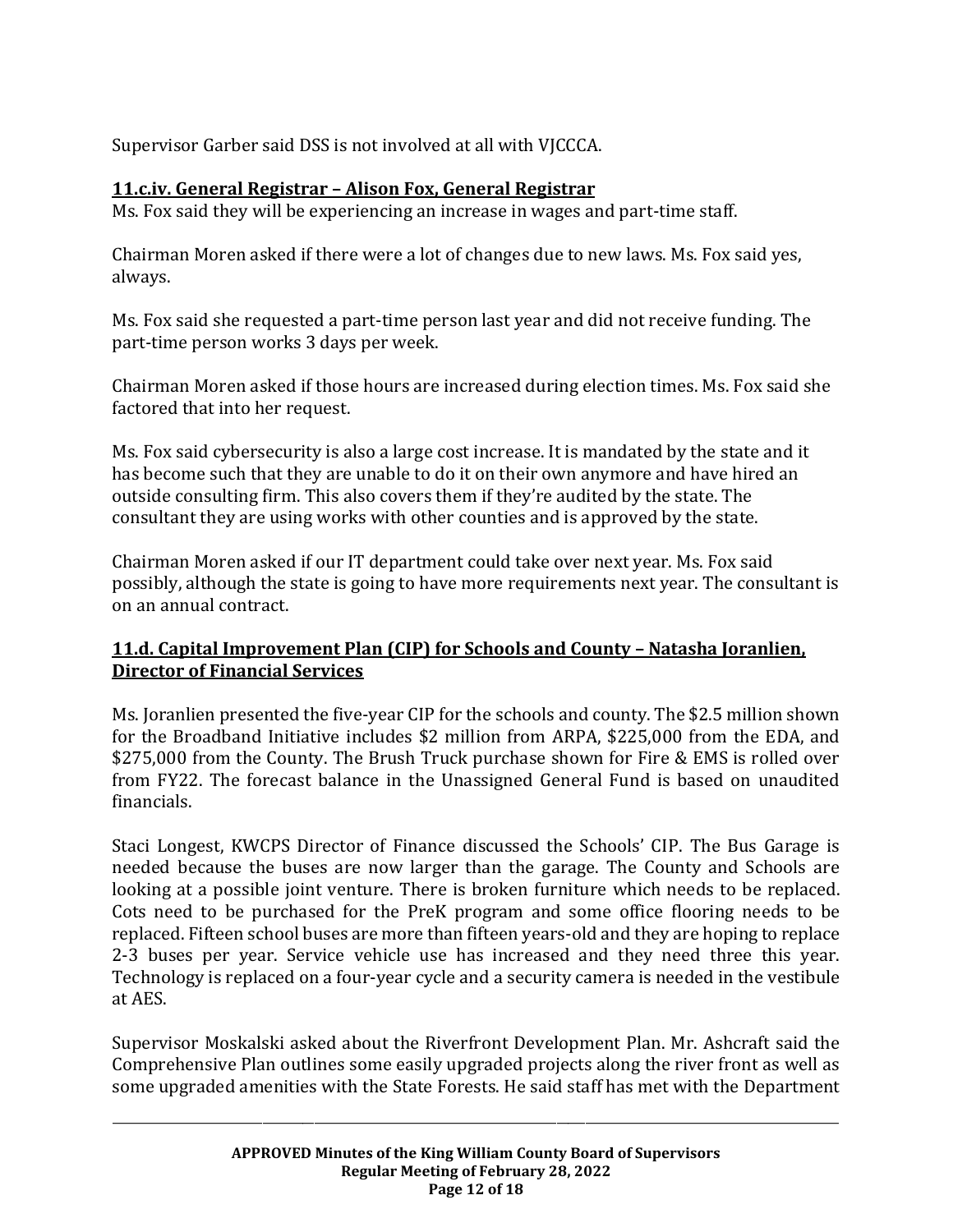Supervisor Garber said DSS is not involved at all with VJCCCA.

# **11.c.iv. General Registrar – Alison Fox, General Registrar**

Ms. Fox said they will be experiencing an increase in wages and part-time staff.

Chairman Moren asked if there were a lot of changes due to new laws. Ms. Fox said yes, always.

Ms. Fox said she requested a part-time person last year and did not receive funding. The part-time person works 3 days per week.

Chairman Moren asked if those hours are increased during election times. Ms. Fox said she factored that into her request.

Ms. Fox said cybersecurity is also a large cost increase. It is mandated by the state and it has become such that they are unable to do it on their own anymore and have hired an outside consulting firm. This also covers them if they're audited by the state. The consultant they are using works with other counties and is approved by the state.

Chairman Moren asked if our IT department could take over next year. Ms. Fox said possibly, although the state is going to have more requirements next year. The consultant is on an annual contract.

# **11.d. Capital Improvement Plan (CIP) for Schools and County – Natasha Joranlien, Director of Financial Services**

Ms. Joranlien presented the five-year CIP for the schools and county. The \$2.5 million shown for the Broadband Initiative includes \$2 million from ARPA, \$225,000 from the EDA, and \$275,000 from the County. The Brush Truck purchase shown for Fire & EMS is rolled over from FY22. The forecast balance in the Unassigned General Fund is based on unaudited financials.

Staci Longest, KWCPS Director of Finance discussed the Schools' CIP. The Bus Garage is needed because the buses are now larger than the garage. The County and Schools are looking at a possible joint venture. There is broken furniture which needs to be replaced. Cots need to be purchased for the PreK program and some office flooring needs to be replaced. Fifteen school buses are more than fifteen years-old and they are hoping to replace 2-3 buses per year. Service vehicle use has increased and they need three this year. Technology is replaced on a four-year cycle and a security camera is needed in the vestibule at AES.

Supervisor Moskalski asked about the Riverfront Development Plan. Mr. Ashcraft said the Comprehensive Plan outlines some easily upgraded projects along the river front as well as some upgraded amenities with the State Forests. He said staff has met with the Department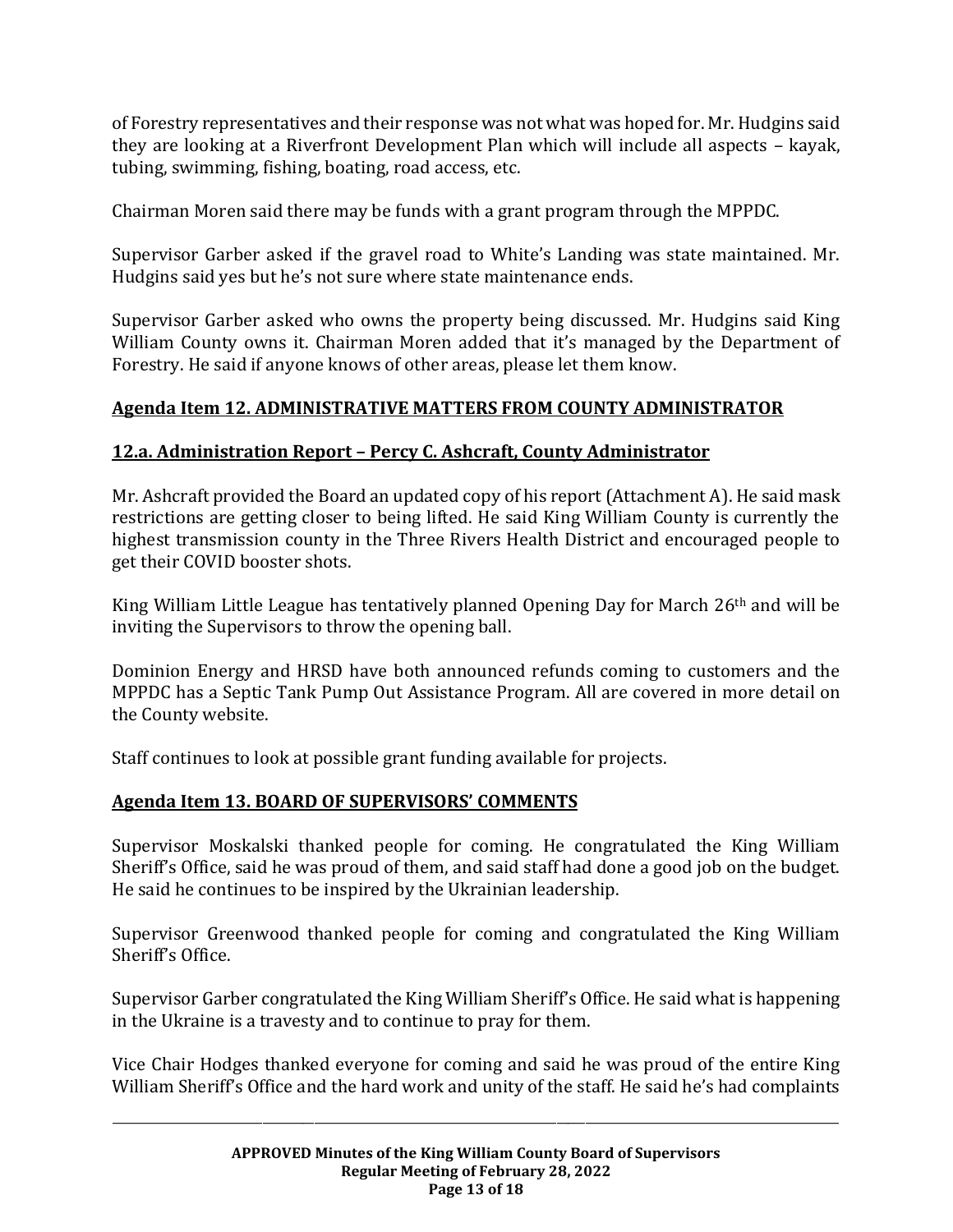of Forestry representatives and their response was not what was hoped for. Mr. Hudgins said they are looking at a Riverfront Development Plan which will include all aspects – kayak, tubing, swimming, fishing, boating, road access, etc.

Chairman Moren said there may be funds with a grant program through the MPPDC.

Supervisor Garber asked if the gravel road to White's Landing was state maintained. Mr. Hudgins said yes but he's not sure where state maintenance ends.

Supervisor Garber asked who owns the property being discussed. Mr. Hudgins said King William County owns it. Chairman Moren added that it's managed by the Department of Forestry. He said if anyone knows of other areas, please let them know.

# **Agenda Item 12. ADMINISTRATIVE MATTERS FROM COUNTY ADMINISTRATOR**

### **12.a. Administration Report – Percy C. Ashcraft, County Administrator**

Mr. Ashcraft provided the Board an updated copy of his report (Attachment A). He said mask restrictions are getting closer to being lifted. He said King William County is currently the highest transmission county in the Three Rivers Health District and encouraged people to get their COVID booster shots.

King William Little League has tentatively planned Opening Day for March 26<sup>th</sup> and will be inviting the Supervisors to throw the opening ball.

Dominion Energy and HRSD have both announced refunds coming to customers and the MPPDC has a Septic Tank Pump Out Assistance Program. All are covered in more detail on the County website.

Staff continues to look at possible grant funding available for projects.

# **Agenda Item 13. BOARD OF SUPERVISORS' COMMENTS**

Supervisor Moskalski thanked people for coming. He congratulated the King William Sheriff's Office, said he was proud of them, and said staff had done a good job on the budget. He said he continues to be inspired by the Ukrainian leadership.

Supervisor Greenwood thanked people for coming and congratulated the King William Sheriff's Office.

Supervisor Garber congratulated the King William Sheriff's Office. He said what is happening in the Ukraine is a travesty and to continue to pray for them.

Vice Chair Hodges thanked everyone for coming and said he was proud of the entire King William Sheriff's Office and the hard work and unity of the staff. He said he's had complaints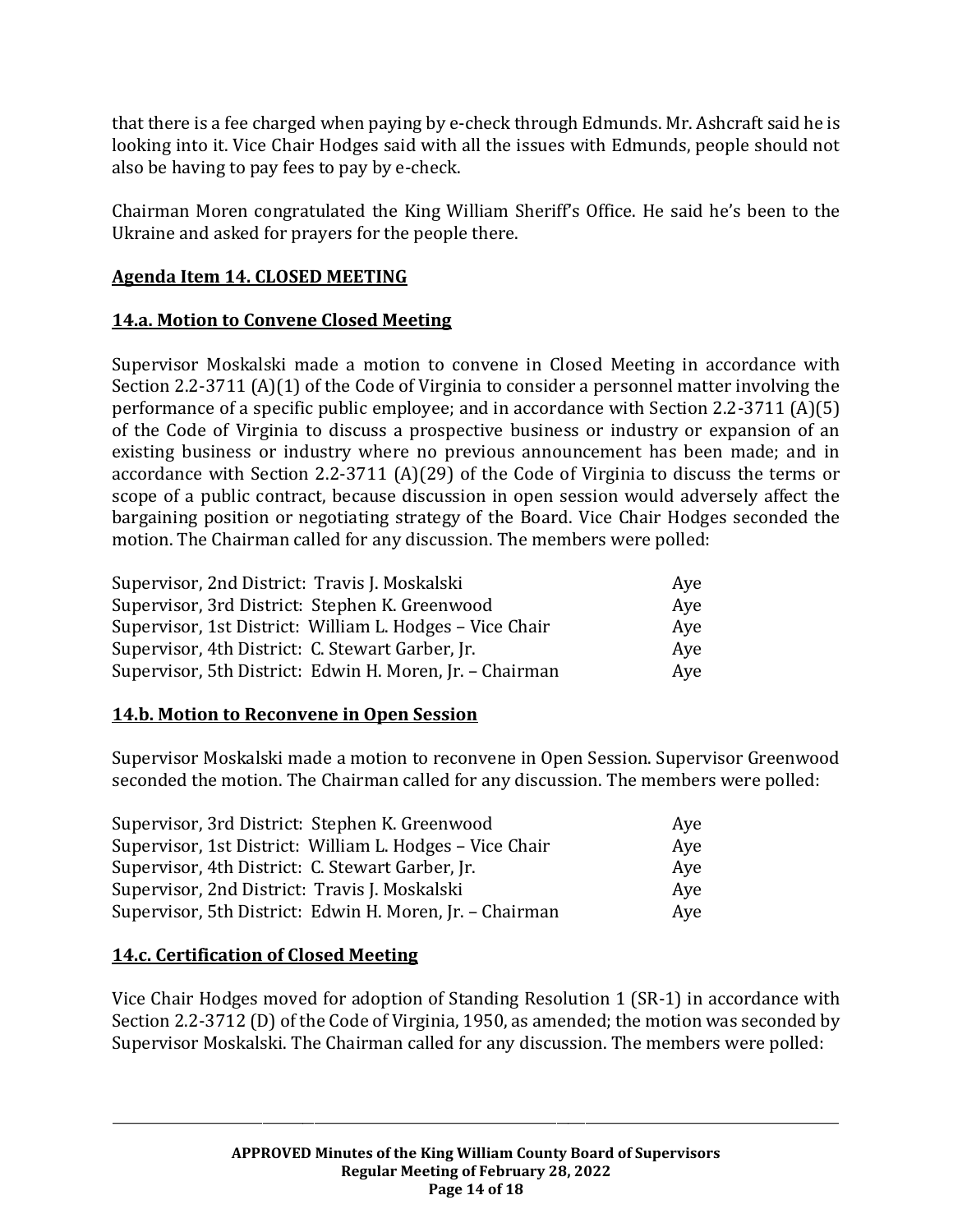that there is a fee charged when paying by e-check through Edmunds. Mr. Ashcraft said he is looking into it. Vice Chair Hodges said with all the issues with Edmunds, people should not also be having to pay fees to pay by e-check.

Chairman Moren congratulated the King William Sheriff's Office. He said he's been to the Ukraine and asked for prayers for the people there.

### **Agenda Item 14. CLOSED MEETING**

### **14.a. Motion to Convene Closed Meeting**

Supervisor Moskalski made a motion to convene in Closed Meeting in accordance with Section 2.2-3711 (A)(1) of the Code of Virginia to consider a personnel matter involving the performance of a specific public employee; and in accordance with Section 2.2-3711 (A)(5) of the Code of Virginia to discuss a prospective business or industry or expansion of an existing business or industry where no previous announcement has been made; and in accordance with Section 2.2-3711 (A)(29) of the Code of Virginia to discuss the terms or scope of a public contract, because discussion in open session would adversely affect the bargaining position or negotiating strategy of the Board. Vice Chair Hodges seconded the motion. The Chairman called for any discussion. The members were polled:

| Supervisor, 2nd District: Travis J. Moskalski            | Aye |
|----------------------------------------------------------|-----|
| Supervisor, 3rd District: Stephen K. Greenwood           | Ave |
| Supervisor, 1st District: William L. Hodges – Vice Chair | Aye |
| Supervisor, 4th District: C. Stewart Garber, Jr.         | Ave |
| Supervisor, 5th District: Edwin H. Moren, Jr. - Chairman | Aye |

#### **14.b. Motion to Reconvene in Open Session**

Supervisor Moskalski made a motion to reconvene in Open Session. Supervisor Greenwood seconded the motion. The Chairman called for any discussion. The members were polled:

| Supervisor, 3rd District: Stephen K. Greenwood           | Aye |
|----------------------------------------------------------|-----|
| Supervisor, 1st District: William L. Hodges - Vice Chair | Aye |
| Supervisor, 4th District: C. Stewart Garber, Jr.         | Aye |
| Supervisor, 2nd District: Travis J. Moskalski            | Aye |
| Supervisor, 5th District: Edwin H. Moren, Jr. - Chairman | Aye |

# **14.c. Certification of Closed Meeting**

Vice Chair Hodges moved for adoption of Standing Resolution 1 (SR-1) in accordance with Section 2.2-3712 (D) of the Code of Virginia, 1950, as amended; the motion was seconded by Supervisor Moskalski. The Chairman called for any discussion. The members were polled: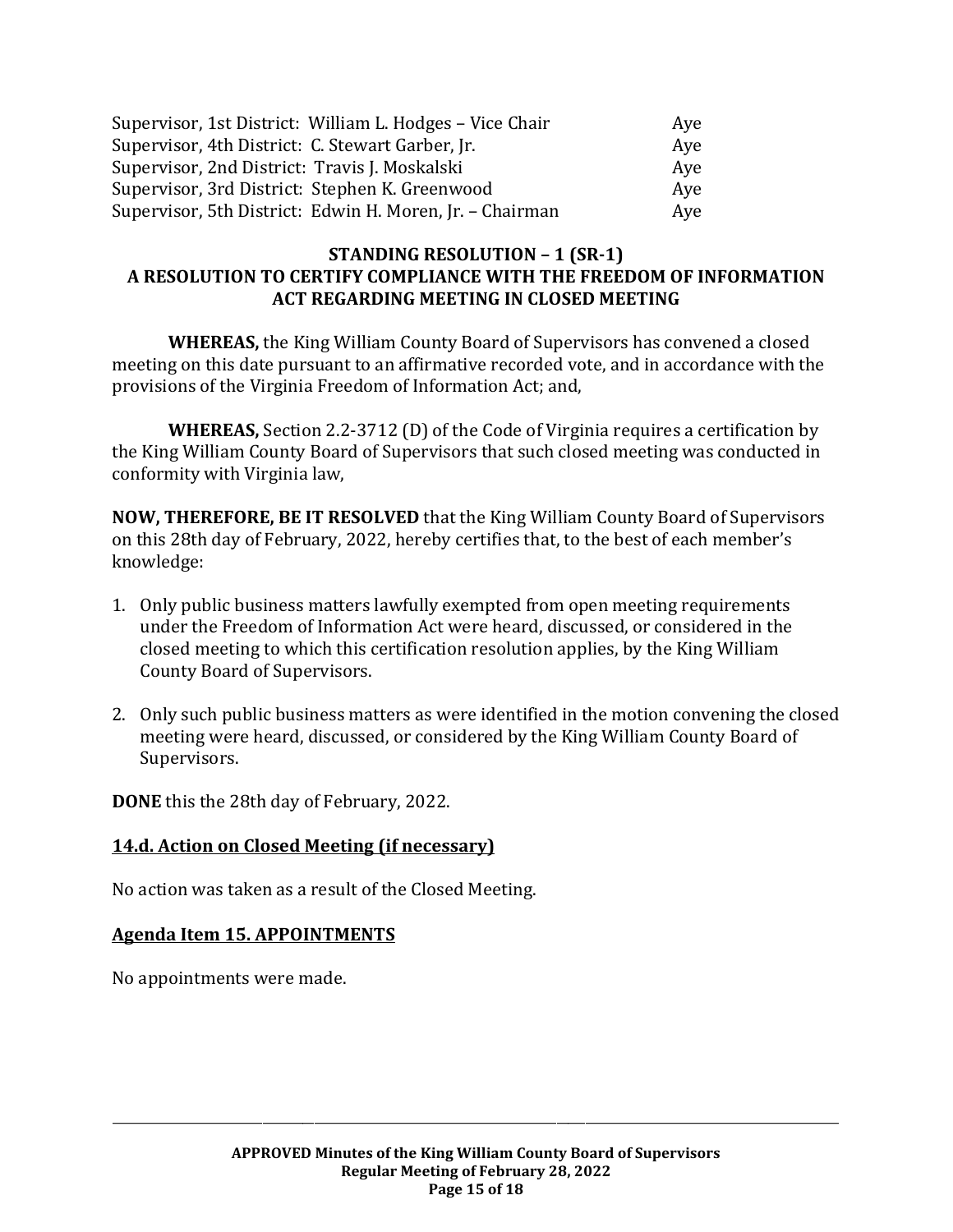| Supervisor, 1st District: William L. Hodges - Vice Chair | Aye |
|----------------------------------------------------------|-----|
| Supervisor, 4th District: C. Stewart Garber, Jr.         | Aye |
| Supervisor, 2nd District: Travis J. Moskalski            | Aye |
| Supervisor, 3rd District: Stephen K. Greenwood           | Aye |
| Supervisor, 5th District: Edwin H. Moren, Jr. - Chairman | Aye |

#### **STANDING RESOLUTION – 1 (SR-1) A RESOLUTION TO CERTIFY COMPLIANCE WITH THE FREEDOM OF INFORMATION ACT REGARDING MEETING IN CLOSED MEETING**

**WHEREAS,** the King William County Board of Supervisors has convened a closed meeting on this date pursuant to an affirmative recorded vote, and in accordance with the provisions of the Virginia Freedom of Information Act; and,

**WHEREAS,** Section 2.2-3712 (D) of the Code of Virginia requires a certification by the King William County Board of Supervisors that such closed meeting was conducted in conformity with Virginia law,

**NOW, THEREFORE, BE IT RESOLVED** that the King William County Board of Supervisors on this 28th day of February, 2022, hereby certifies that, to the best of each member's knowledge:

- 1. Only public business matters lawfully exempted from open meeting requirements under the Freedom of Information Act were heard, discussed, or considered in the closed meeting to which this certification resolution applies, by the King William County Board of Supervisors.
- 2. Only such public business matters as were identified in the motion convening the closed meeting were heard, discussed, or considered by the King William County Board of Supervisors.

**DONE** this the 28th day of February, 2022.

#### **14.d. Action on Closed Meeting (if necessary)**

No action was taken as a result of the Closed Meeting.

#### **Agenda Item 15. APPOINTMENTS**

No appointments were made.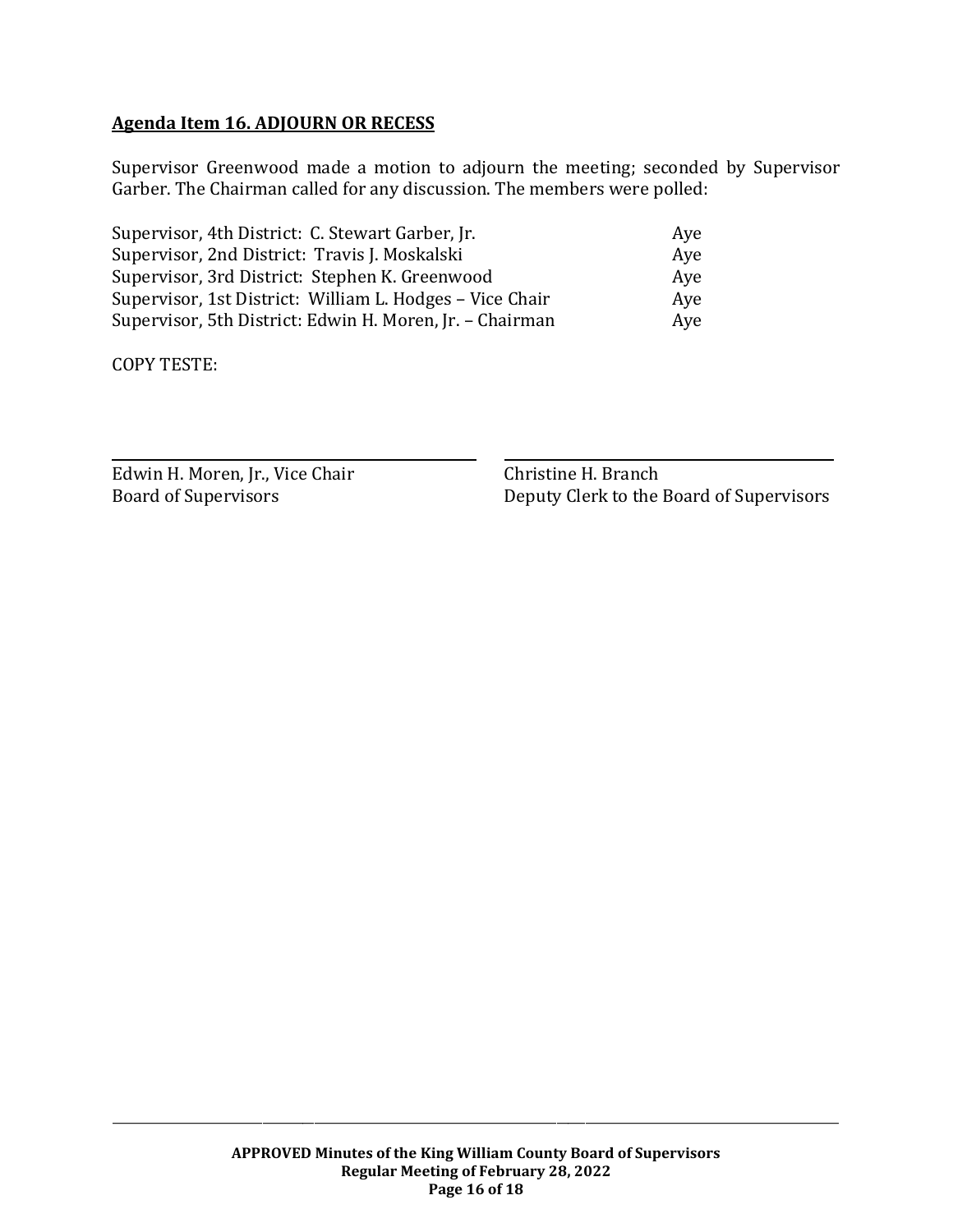# **Agenda Item 16. ADJOURN OR RECESS**

Supervisor Greenwood made a motion to adjourn the meeting; seconded by Supervisor Garber. The Chairman called for any discussion. The members were polled:

| Supervisor, 4th District: C. Stewart Garber, Jr.         | Ave |
|----------------------------------------------------------|-----|
| Supervisor, 2nd District: Travis J. Moskalski            | Aye |
| Supervisor, 3rd District: Stephen K. Greenwood           | Aye |
| Supervisor, 1st District: William L. Hodges - Vice Chair | Ave |
| Supervisor, 5th District: Edwin H. Moren, Jr. - Chairman | Aye |

COPY TESTE:

| Edwin H. Moren, Jr., Vice Chair |
|---------------------------------|
| <b>Board of Supervisors</b>     |

Christine H. Branch Board of Supervisors Deputy Clerk to the Board of Supervisors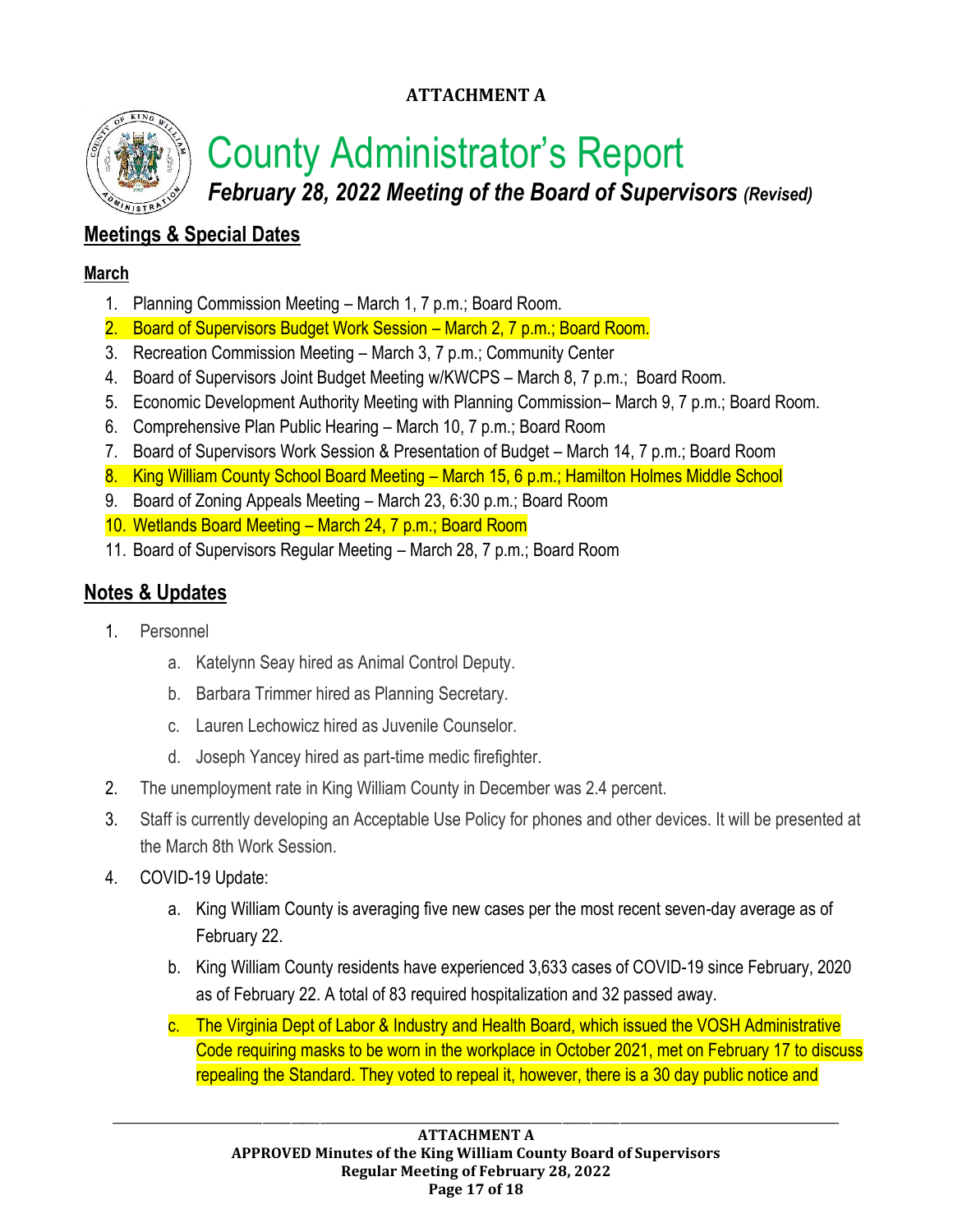# **ATTACHMENT A**



County Administrator's Report

*February 28, 2022 Meeting of the Board of Supervisors (Revised)*

# **Meetings & Special Dates**

# **March**

- 1. Planning Commission Meeting March 1, 7 p.m.; Board Room.
- 2. Board of Supervisors Budget Work Session March 2, 7 p.m.; Board Room.
- 3. Recreation Commission Meeting March 3, 7 p.m.; Community Center
- 4. Board of Supervisors Joint Budget Meeting w/KWCPS March 8, 7 p.m.; Board Room.
- 5. Economic Development Authority Meeting with Planning Commission– March 9, 7 p.m.; Board Room.
- 6. Comprehensive Plan Public Hearing March 10, 7 p.m.; Board Room
- 7. Board of Supervisors Work Session & Presentation of Budget March 14, 7 p.m.; Board Room
- 8. King William County School Board Meeting March 15, 6 p.m.; Hamilton Holmes Middle School
- 9. Board of Zoning Appeals Meeting March 23, 6:30 p.m.; Board Room
- 10. Wetlands Board Meeting March 24, 7 p.m.; Board Room
- 11. Board of Supervisors Regular Meeting March 28, 7 p.m.; Board Room

# **Notes & Updates**

- 1. Personnel
	- a. Katelynn Seay hired as Animal Control Deputy.
	- b. Barbara Trimmer hired as Planning Secretary.
	- c. Lauren Lechowicz hired as Juvenile Counselor.
	- d. Joseph Yancey hired as part-time medic firefighter.
- 2. The unemployment rate in King William County in December was 2.4 percent.
- 3. Staff is currently developing an Acceptable Use Policy for phones and other devices. It will be presented at the March 8th Work Session.
- 4. COVID-19 Update:
	- a. King William County is averaging five new cases per the most recent seven-day average as of February 22.
	- b. King William County residents have experienced 3,633 cases of COVID-19 since February, 2020 as of February 22. A total of 83 required hospitalization and 32 passed away.
	- c. The Virginia Dept of Labor & Industry and Health Board, which issued the VOSH Administrative Code requiring masks to be worn in the workplace in October 2021, met on February 17 to discuss repealing the Standard. They voted to repeal it, however, there is a 30 day public notice and